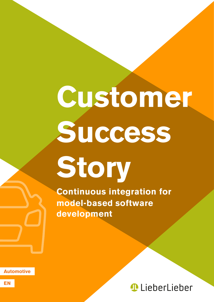# **Customer Success**

**Story**

**Continuous integration for model-based software development**

**Automotive**



**EN**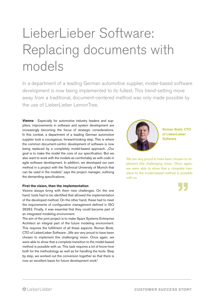## LieberLieber Software: Replacing documents with models

In a department of a leading German automotive supplier, model-based software development is now being implemented to its fullest. This trend-setting move away from a traditional, document-centered method was only made possible by the use of LieberLieber LemonTree.

**Vienna** - Especially for automotive industry leaders and suppliers, improvements in software and system development are increasingly becoming the focus of strategic considerations. In this context, a department of a leading German automotive supplier took a courageous, forward-looking step. This is where the common document-centric development of software is now being replaced by a completely model-based approach. "Our goal is to make the model the core of our specification. But we also want to work with the models as comfortably as with code in agile software development. In addition, we developed our own method in a project with the Technical University of Munich that can be used in the models," says the project manager, outlining the demanding specifications.

#### **First the vision, then the implementation**

Visions always bring with them new challenges. On the one hand, tools had to be identified that allowed the implementation of the developed method. On the other hand, these had to meet the requirements of configuration management defined in ISO 26262. Finally, it was essential that they could become part of an integrated modeling environment.

The aim of the joint project is to make Sparx Systems Enterprise Architect an integral part of the future modeling environment. This requires the fulfillment of all these aspects. Roman Bretz, CTO of LieberLieber Software: "We are very proud to have been chosen to implement this challenging vision. Once again, we were able to show that a complete transition to the model-based method is possible with us. This task requires a lot of know-how both for the methodology as well as for handling the tools. Step by step, we worked out the conversion together so that there is now an excellent basis for future development work."



Roman Bretz, CTO of LieberLieber Software

We are very proud to have been chosen to implement this challenging vision. Once again, we were able to show that a complete transition to the model-based method is possible with us.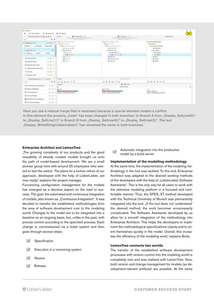| Co LemonTree                                                                                                                                                                                                                                                                                                                                                                                                                                                                    |                                                                                                                                                                                                                                                                                                                    |                                                                                                                                                                                                                                                                                                                                                                                                 | 图<br>$\times$<br>÷                                                                                                                                                                                                              |
|---------------------------------------------------------------------------------------------------------------------------------------------------------------------------------------------------------------------------------------------------------------------------------------------------------------------------------------------------------------------------------------------------------------------------------------------------------------------------------|--------------------------------------------------------------------------------------------------------------------------------------------------------------------------------------------------------------------------------------------------------------------------------------------------------------------|-------------------------------------------------------------------------------------------------------------------------------------------------------------------------------------------------------------------------------------------------------------------------------------------------------------------------------------------------------------------------------------------------|---------------------------------------------------------------------------------------------------------------------------------------------------------------------------------------------------------------------------------|
| <b>17</b> Take Subtree B<br>$\equiv$<br><b>IT</b> Take Subtree A                                                                                                                                                                                                                                                                                                                                                                                                                | <b>D</b> Start Merge                                                                                                                                                                                                                                                                                               |                                                                                                                                                                                                                                                                                                                                                                                                 |                                                                                                                                                                                                                                 |
| Impacted Elements [26 / 26] A 1 Conflicted<br>Search                                                                                                                                                                                                                                                                                                                                                                                                                            | Details -<br>A - Theirs.eap (3,03 MB)<br>C:\ProgramData\LieberLieber\LemonTree\Example\Theirs.eap<br>Q T<br>Modified: 13.12.2018 17:17                                                                                                                                                                             | 8 B - Mine.eap (3,03 MB)<br>C:\ProgramData\LieberLieber\LemonTree\Example\Mine.eap<br>Modified: 13.12.2018 17:17                                                                                                                                                                                                                                                                                | Merge Preview                                                                                                                                                                                                                   |
| 4 A Display Class<br>$A$ $B$<br>On Diagrams: 1 - A: Child modified<br><b>B:</b> Child modified<br>٠<br>-9 A WriteLL void<br>A: Modified<br><b>B: Modified</b><br>On Diagrams: 0<br>DisplayInfo:Signal<br>●A ●B √<br><b>DisplayInfo:Trigger</b><br>●A ●B √<br>DisplayInformation:State<br>●A ●B √<br><b>D</b> @ GetMouseOblect:OpaqueAction<br>$A$ $B$ $\sim$<br>$\triangleright$ $\bullet$ Init. Activity<br>$A$ $B$ $\checkmark$<br><b>D</b> a InitDisplay:Activity<br>●A ●B √ | ▲ EmbeddedEngineer (26)<br>$\triangleq$ Demos (26)<br>▲ <u>■</u> AcceleratorMouse (26)<br>Displayinfo ><br>$\triangleq$ $\blacksquare$ Display (1)<br>$\triangleright$ $\bullet$ Transmit<br><b>A</b> WriteLL (1)<br>$\triangleright$ <b>Main</b> (24)<br>$\triangleright$ <b>El</b> Mouse (1)<br><b>D Signals</b> | EmbeddedEngineer (64)<br>$\triangle$ Demos (64)<br>▲ <u>■</u> AcceleratorMouse (64)<br><b>7</b> DisplayInfo (1)<br>$\triangleq$ $\blacksquare$ Display (15)<br>$\triangleright$ $\blacksquare$ Transmit (14)<br>$\rightarrow \bullet$ MnteLL (1) $\rightarrow$<br>$\triangleright$ $\blacksquare$ Main (37)<br>$\triangleright$ Mouse (10) $\triangleright$<br>$\triangleright$ [M] Signals (1) | 4 EmbeddedEngineer<br>4 Demos<br><b>4</b> AcceleratorMouse<br>DisplayInfo<br>▲ <b>B</b> Display<br>D Transmit<br>-o WriteLL<br>$D$ $\blacksquare$ Main<br>$\triangleright$ $\blacksquare$ Mouse<br>$\triangleright$ [M] Signals |
| Impacted Diagrams [6 / 6] < 0 Conflicted                                                                                                                                                                                                                                                                                                                                                                                                                                        | Diagrams                                                                                                                                                                                                                                                                                                           | (nothing selected)                                                                                                                                                                                                                                                                                                                                                                              |                                                                                                                                                                                                                                 |
| Search.                                                                                                                                                                                                                                                                                                                                                                                                                                                                         | $9 + 7$ %<br>CQ<br>Q T                                                                                                                                                                                                                                                                                             | $C & 0 & 0 \Rightarrow F & 11$                                                                                                                                                                                                                                                                                                                                                                  | $C & 0 & 0 & 0 & \overline{c} & 1$                                                                                                                                                                                              |
| P 23 AcceleratorMouse:LogicalDiagram<br>©A ⊙B V                                                                                                                                                                                                                                                                                                                                                                                                                                 | A WriteLL void<br>Properties -<br>$4 -$                                                                                                                                                                                                                                                                            |                                                                                                                                                                                                                                                                                                                                                                                                 |                                                                                                                                                                                                                                 |
| P 22 Display:LogicalDiagram<br>*A *B                                                                                                                                                                                                                                                                                                                                                                                                                                            | <b>Element Properties</b><br>$\overline{a}$<br>$\checkmark$<br>A Code ><br>A Code<br>Code                                                                                                                                                                                                                          |                                                                                                                                                                                                                                                                                                                                                                                                 |                                                                                                                                                                                                                                 |
| ▷ <del>A</del> main: ActivityDiagram<br>$A$ $B$ $\sqrt{}$                                                                                                                                                                                                                                                                                                                                                                                                                       | Display SetLine(0); Display SetLine(1);<br>Display WriteString(LieberLieber);                                                                                                                                                                                                                                      | Display SetLine(0); Display SetLine(2);<br>Display WriteString(LieberLieber);                                                                                                                                                                                                                                                                                                                   | Display SetLine(1):<br>Display WriteString(LieberLieber):                                                                                                                                                                       |
| P 29 Main:LogicalDiagram<br>©A ⊙B V                                                                                                                                                                                                                                                                                                                                                                                                                                             |                                                                                                                                                                                                                                                                                                                    |                                                                                                                                                                                                                                                                                                                                                                                                 |                                                                                                                                                                                                                                 |
| StateMachine:StatechartDiagram<br>●A ●B →                                                                                                                                                                                                                                                                                                                                                                                                                                       |                                                                                                                                                                                                                                                                                                                    |                                                                                                                                                                                                                                                                                                                                                                                                 |                                                                                                                                                                                                                                 |
| <b>D</b> K Transmit:ActivityDiagram<br>$A$ $B$ $\sqrt{}$                                                                                                                                                                                                                                                                                                                                                                                                                        |                                                                                                                                                                                                                                                                                                                    |                                                                                                                                                                                                                                                                                                                                                                                                 |                                                                                                                                                                                                                                 |

Here you see a manual merge that is necessary because a special element creates a conflict. In this element the property "Code" has been changed in both branches: In Branch A from "Display\_SetLine(0);" to "Display SetLine(1);" in Branch B from "Display SetLine(0);" to "Display SetLine(2);". The text .Display WriteString(LieberLieber);" has remained the same in both branches.

#### **Enterprise Architect and LemonTree**

"The growing complexity of our products and the good reusability of already created models brought us onto the path of model-based development. We are a small pioneer group here with around 25 employees who wanted to test the switch. The plans for a further rollout of our approach, developed with the help of LieberLieber, are now ready," explains the project manager.

Functioning configuration management for the models has emerged as a decisive aspect on the road to success. The goal: the automated and continuous integration of models, also known as "Continuous Integration". It was decided to transfer the established methodologies from the area of software development over to the modeling world. Changes to the model are to be integrated into a baseline on an ongoing basis, but, unlike in the past, with precise control according to the specified process. Each change is commissioned via a ticket system and then goes through several steps:

- $\overline{\mathbf{v}}$ Specification
- $\nabla$ Execution in a versioning system
- $\mathbf{z}$ Review
- Release  $\overline{\mathbf{C}}$

Automatic integration into the productive  $\overline{\mathbf{v}}$ model by a build server

#### **Implementation of the modelling methodology**

At the same time, the implementation of the modeling methodology in the tool was tackled. To this end, Enterprise Architect was adapted to the desired working methods of the developers with the help of "LieberLieber Software Assistants". This is the only way for all users to work with the extensive modeling platform in a focused and comfortable manner. Thus, the SPES\_XT method developed with the Technical University of Munich was permanently integrated into the tool. "If the tool does not 'understand' the desired method, the work becomes unnecessarily complicated. The Software Assistants developed by us allow for a smooth integration of the methodology into Enterprise Architect. This helps the developers to implement the methodological specifications cleanly and to orient themselves quickly in the model. Overall, this increases the efficiency of the modeling work," explains Bretz.

#### **LemonTree connects two worlds**

The transfer of the established software development processes with version control into the modeling world is completely new and was realized with LemonTree. Now, both version and change management for models (as development-relevant artifacts) are possible. At the same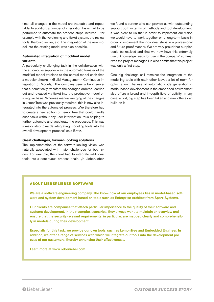time, all changes in the model are traceable and repeatable. In addition, a number of integration tasks had to be performed to automate the process steps involved – for example with the versioning and ticket system, the review tools, the build server, etc. The integration of the new model into the existing model was also possible.

#### **Automated integration of modified model variants**

A particularly challenging task in the collaboration with the automotive supplier was the automatic transfer of the modified model versions to the central model each time a modeler checks in (Build Management - Continuous Integration of Models). The company uses a build server that automatically transfers the changes ordered, carried out and released via ticket into the productive model on a regular basis. Whereas manual merging of the changes in LemonTree was previously required, this is now also integrated into the automated process. "We therefore had to create a new edition of LemonTree that could handle such tasks without any user intervention, thus helping to further automate and accelerate the processes. This was a major step towards integrating modeling tools into the overall development process," said Bretz.

#### **Great challenges, forward-looking solutions**

The implementation of the forward-looking vision was naturally associated with major challenges for both sides. For example, the client had to integrate additional tools into a continuous process chain. "In LieberLieber,

we found a partner who can provide us with outstanding support both in terms of methods and tool development. It was clear to us that in order to implement our vision we would have to work together on a long-term basis in order to implement the individual steps in a professional and future-proof manner. We are very proud that our plan could be realized and that we now have this extremely useful knowledge ready for use in the company," summarizes the project manager. He also admits that this project was only a first step.

One big challenge still remains: the integration of the modelling tools with each other leaves a lot of room for optimization. The use of automatic code generation in model-based development in the embedded environment also offers a broad and in-depth field of activity. In any case, a first, big step has been taken and now others can build on it.

#### **ABOUT LIEBERLIEBER SOFTWARE**

We are a software engineering company. The know-how of our employees lies in model-based software and system development based on tools such as Enterprise Architect from Sparx Systems.

Our clients are companies that attach particular importance to the quality of their software and systems development. In their complex scenarios, they always want to maintain an overview and ensure that the security-relevant requirements, in particular, are mapped clearly and comprehensibly in models during their development.

Especially for this task, we provide our own tools, such as LemonTree and Embedded Engineer. In addition, we offer a range of services with which we integrate our tools into the development process of our customers, thereby enhancing their effectiveness.

Learn more at www.lieberlieber.com